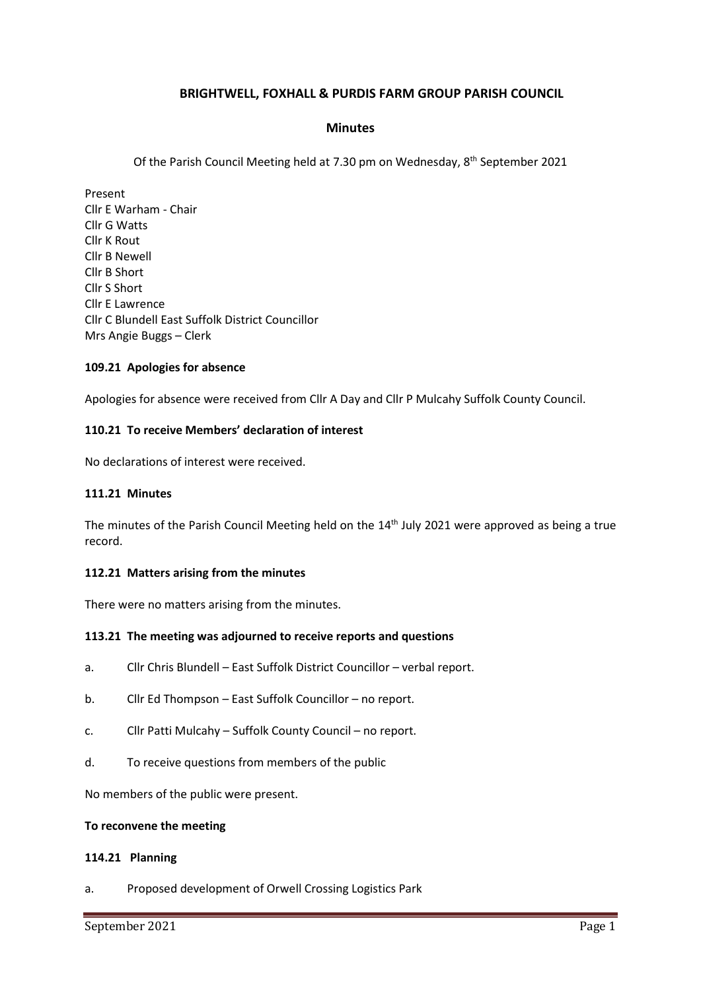# **BRIGHTWELL, FOXHALL & PURDIS FARM GROUP PARISH COUNCIL**

## **Minutes**

Of the Parish Council Meeting held at 7.30 pm on Wednesday, 8<sup>th</sup> September 2021

Present Cllr E Warham - Chair Cllr G Watts Cllr K Rout Cllr B Newell Cllr B Short Cllr S Short Cllr E Lawrence Cllr C Blundell East Suffolk District Councillor Mrs Angie Buggs – Clerk

### **109.21 Apologies for absence**

Apologies for absence were received from Cllr A Day and Cllr P Mulcahy Suffolk County Council.

### **110.21 To receive Members' declaration of interest**

No declarations of interest were received.

### **111.21 Minutes**

The minutes of the Parish Council Meeting held on the 14<sup>th</sup> July 2021 were approved as being a true record.

### **112.21 Matters arising from the minutes**

There were no matters arising from the minutes.

### **113.21 The meeting was adjourned to receive reports and questions**

- a. Cllr Chris Blundell East Suffolk District Councillor verbal report.
- b. Cllr Ed Thompson East Suffolk Councillor no report.
- c. Cllr Patti Mulcahy Suffolk County Council no report.
- d. To receive questions from members of the public

No members of the public were present.

#### **To reconvene the meeting**

### **114.21 Planning**

a. Proposed development of Orwell Crossing Logistics Park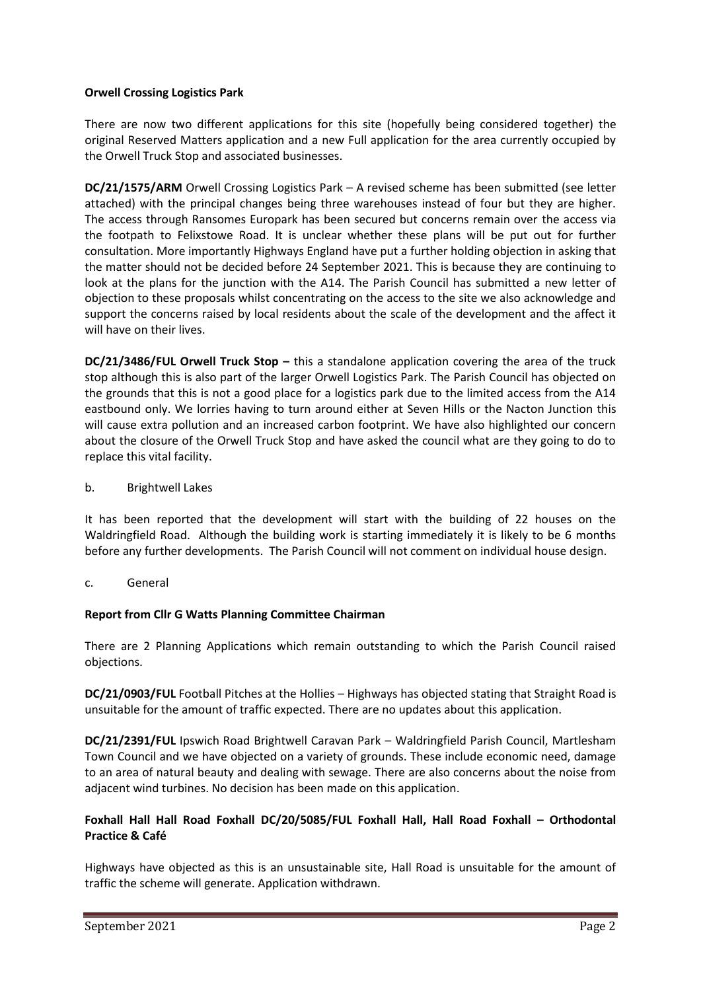# **Orwell Crossing Logistics Park**

There are now two different applications for this site (hopefully being considered together) the original Reserved Matters application and a new Full application for the area currently occupied by the Orwell Truck Stop and associated businesses.

**DC/21/1575/ARM** Orwell Crossing Logistics Park – A revised scheme has been submitted (see letter attached) with the principal changes being three warehouses instead of four but they are higher. The access through Ransomes Europark has been secured but concerns remain over the access via the footpath to Felixstowe Road. It is unclear whether these plans will be put out for further consultation. More importantly Highways England have put a further holding objection in asking that the matter should not be decided before 24 September 2021. This is because they are continuing to look at the plans for the junction with the A14. The Parish Council has submitted a new letter of objection to these proposals whilst concentrating on the access to the site we also acknowledge and support the concerns raised by local residents about the scale of the development and the affect it will have on their lives.

**DC/21/3486/FUL Orwell Truck Stop - this a standalone application covering the area of the truck** stop although this is also part of the larger Orwell Logistics Park. The Parish Council has objected on the grounds that this is not a good place for a logistics park due to the limited access from the A14 eastbound only. We lorries having to turn around either at Seven Hills or the Nacton Junction this will cause extra pollution and an increased carbon footprint. We have also highlighted our concern about the closure of the Orwell Truck Stop and have asked the council what are they going to do to replace this vital facility.

# b. Brightwell Lakes

It has been reported that the development will start with the building of 22 houses on the Waldringfield Road. Although the building work is starting immediately it is likely to be 6 months before any further developments. The Parish Council will not comment on individual house design.

c. General

# **Report from Cllr G Watts Planning Committee Chairman**

There are 2 Planning Applications which remain outstanding to which the Parish Council raised objections.

**DC/21/0903/FUL** Football Pitches at the Hollies – Highways has objected stating that Straight Road is unsuitable for the amount of traffic expected. There are no updates about this application.

**DC/21/2391/FUL** Ipswich Road Brightwell Caravan Park – Waldringfield Parish Council, Martlesham Town Council and we have objected on a variety of grounds. These include economic need, damage to an area of natural beauty and dealing with sewage. There are also concerns about the noise from adjacent wind turbines. No decision has been made on this application.

# **Foxhall Hall Hall Road Foxhall DC/20/5085/FUL Foxhall Hall, Hall Road Foxhall – Orthodontal Practice & Café**

Highways have objected as this is an unsustainable site, Hall Road is unsuitable for the amount of traffic the scheme will generate. Application withdrawn.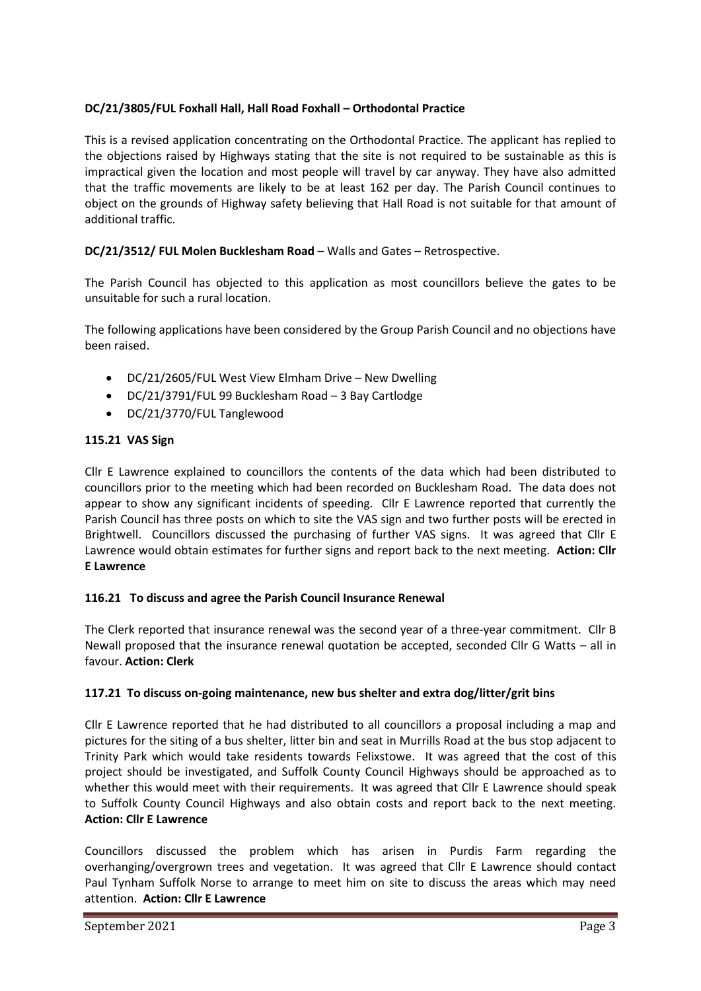# **DC/21/3805/FUL Foxhall Hall, Hall Road Foxhall – Orthodontal Practice**

This is a revised application concentrating on the Orthodontal Practice. The applicant has replied to the objections raised by Highways stating that the site is not required to be sustainable as this is impractical given the location and most people will travel by car anyway. They have also admitted that the traffic movements are likely to be at least 162 per day. The Parish Council continues to object on the grounds of Highway safety believing that Hall Road is not suitable for that amount of additional traffic.

# **DC/21/3512/ FUL Molen Bucklesham Road** – Walls and Gates – Retrospective.

The Parish Council has objected to this application as most councillors believe the gates to be unsuitable for such a rural location.

The following applications have been considered by the Group Parish Council and no objections have been raised.

- DC/21/2605/FUL West View Elmham Drive New Dwelling
- DC/21/3791/FUL 99 Bucklesham Road 3 Bay Cartlodge
- DC/21/3770/FUL Tanglewood

## **115.21 VAS Sign**

Cllr E Lawrence explained to councillors the contents of the data which had been distributed to councillors prior to the meeting which had been recorded on Bucklesham Road. The data does not appear to show any significant incidents of speeding. Cllr E Lawrence reported that currently the Parish Council has three posts on which to site the VAS sign and two further posts will be erected in Brightwell. Councillors discussed the purchasing of further VAS signs. It was agreed that Cllr E Lawrence would obtain estimates for further signs and report back to the next meeting. **Action: Cllr E Lawrence**

# **116.21 To discuss and agree the Parish Council Insurance Renewal**

The Clerk reported that insurance renewal was the second year of a three-year commitment. Cllr B Newall proposed that the insurance renewal quotation be accepted, seconded Cllr G Watts – all in favour. **Action: Clerk**

# **117.21 To discuss on-going maintenance, new bus shelter and extra dog/litter/grit bins**

Cllr E Lawrence reported that he had distributed to all councillors a proposal including a map and pictures for the siting of a bus shelter, litter bin and seat in Murrills Road at the bus stop adjacent to Trinity Park which would take residents towards Felixstowe. It was agreed that the cost of this project should be investigated, and Suffolk County Council Highways should be approached as to whether this would meet with their requirements. It was agreed that Cllr E Lawrence should speak to Suffolk County Council Highways and also obtain costs and report back to the next meeting. **Action: Cllr E Lawrence**

Councillors discussed the problem which has arisen in Purdis Farm regarding the overhanging/overgrown trees and vegetation. It was agreed that Cllr E Lawrence should contact Paul Tynham Suffolk Norse to arrange to meet him on site to discuss the areas which may need attention. **Action: Cllr E Lawrence**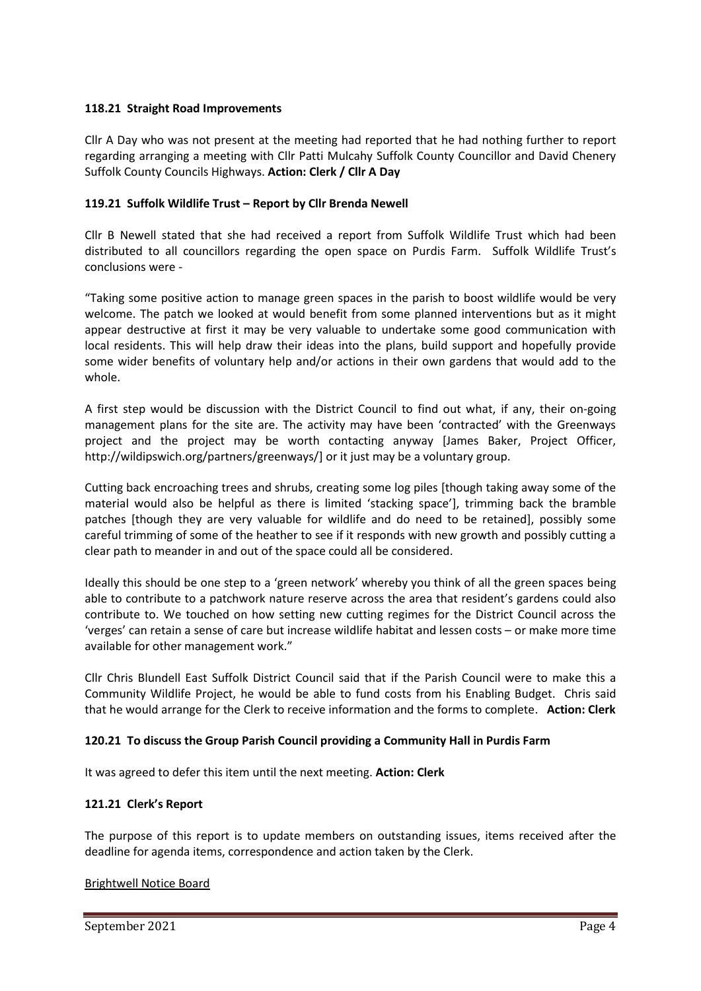## **118.21 Straight Road Improvements**

Cllr A Day who was not present at the meeting had reported that he had nothing further to report regarding arranging a meeting with Cllr Patti Mulcahy Suffolk County Councillor and David Chenery Suffolk County Councils Highways. **Action: Clerk / Cllr A Day**

## **119.21 Suffolk Wildlife Trust – Report by Cllr Brenda Newell**

Cllr B Newell stated that she had received a report from Suffolk Wildlife Trust which had been distributed to all councillors regarding the open space on Purdis Farm. Suffolk Wildlife Trust's conclusions were -

"Taking some positive action to manage green spaces in the parish to boost wildlife would be very welcome. The patch we looked at would benefit from some planned interventions but as it might appear destructive at first it may be very valuable to undertake some good communication with local residents. This will help draw their ideas into the plans, build support and hopefully provide some wider benefits of voluntary help and/or actions in their own gardens that would add to the whole.

A first step would be discussion with the District Council to find out what, if any, their on-going management plans for the site are. The activity may have been 'contracted' with the Greenways project and the project may be worth contacting anyway [James Baker, Project Officer, [http://wildipswich.org/partners/greenways/\]](http://wildipswich.org/partners/greenways/) or it just may be a voluntary group.

Cutting back encroaching trees and shrubs, creating some log piles [though taking away some of the material would also be helpful as there is limited 'stacking space'], trimming back the bramble patches [though they are very valuable for wildlife and do need to be retained], possibly some careful trimming of some of the heather to see if it responds with new growth and possibly cutting a clear path to meander in and out of the space could all be considered.

Ideally this should be one step to a 'green network' whereby you think of all the green spaces being able to contribute to a patchwork nature reserve across the area that resident's gardens could also contribute to. We touched on how setting new cutting regimes for the District Council across the 'verges' can retain a sense of care but increase wildlife habitat and lessen costs – or make more time available for other management work."

Cllr Chris Blundell East Suffolk District Council said that if the Parish Council were to make this a Community Wildlife Project, he would be able to fund costs from his Enabling Budget. Chris said that he would arrange for the Clerk to receive information and the forms to complete. **Action: Clerk**

# **120.21 To discuss the Group Parish Council providing a Community Hall in Purdis Farm**

It was agreed to defer this item until the next meeting. **Action: Clerk**

# **121.21 Clerk's Report**

The purpose of this report is to update members on outstanding issues, items received after the deadline for agenda items, correspondence and action taken by the Clerk.

### Brightwell Notice Board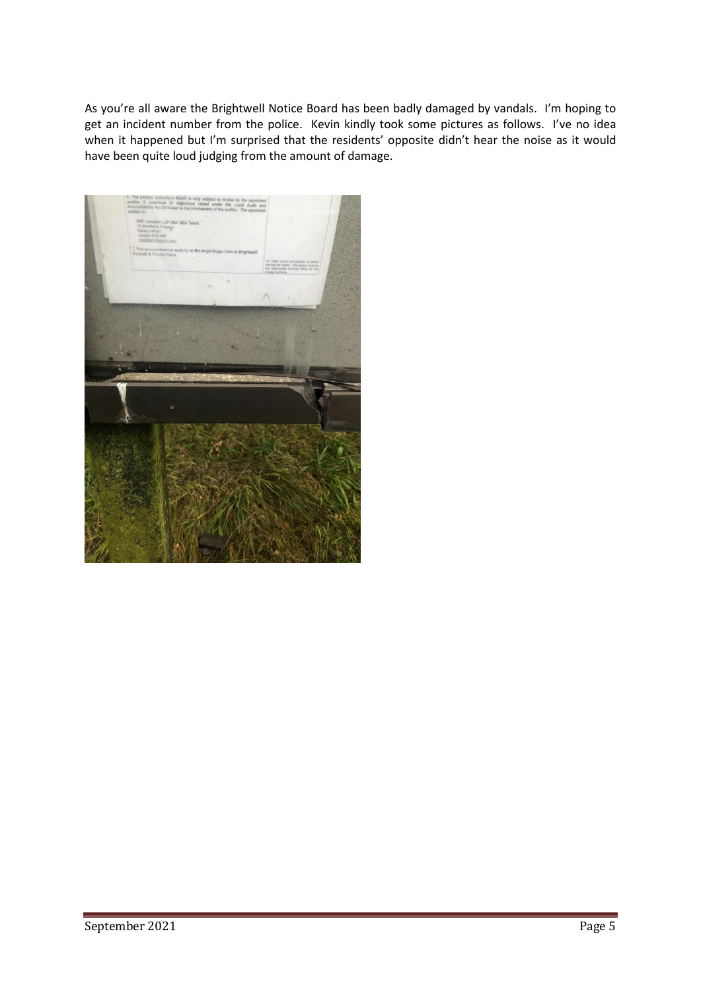As you're all aware the Brightwell Notice Board has been badly damaged by vandals. I'm hoping to get an incident number from the police. Kevin kindly took some pictures as follows. I've no idea when it happened but I'm surprised that the residents' opposite didn't hear the noise as it would have been quite loud judging from the amount of damage.

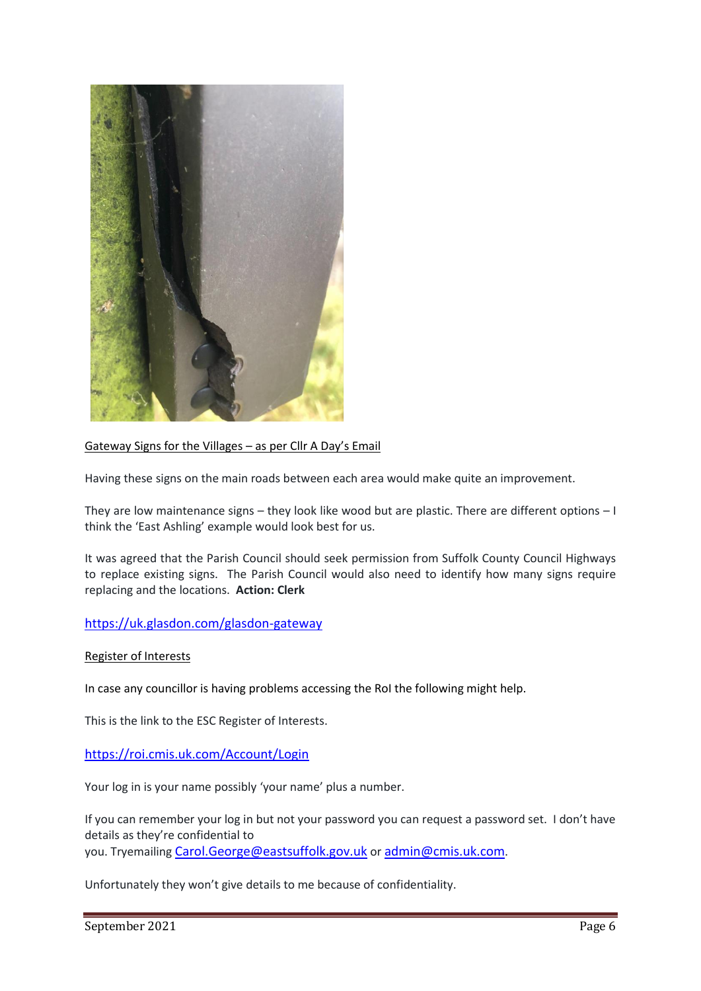

## Gateway Signs for the Villages – as per Cllr A Day's Email

Having these signs on the main roads between each area would make quite an improvement.

They are low maintenance signs – they look like wood but are plastic. There are different options – I think the 'East Ashling' example would look best for us.

It was agreed that the Parish Council should seek permission from Suffolk County Council Highways to replace existing signs. The Parish Council would also need to identify how many signs require replacing and the locations. **Action: Clerk**

### <https://uk.glasdon.com/glasdon-gateway>

#### Register of Interests

In case any councillor is having problems accessing the RoI the following might help.

This is the link to the ESC Register of Interests.

## <https://roi.cmis.uk.com/Account/Login>

Your log in is your name possibly 'your name' plus a number.

If you can remember your log in but not your password you can request a password set. I don't have details as they're confidential to you. Tryemailing [Carol.George@eastsuffolk.gov.uk](mailto:Carol.George@eastsuffolk.gov.uk) or [admin@cmis.uk.com](mailto:admin@cmis.uk.com).

Unfortunately they won't give details to me because of confidentiality.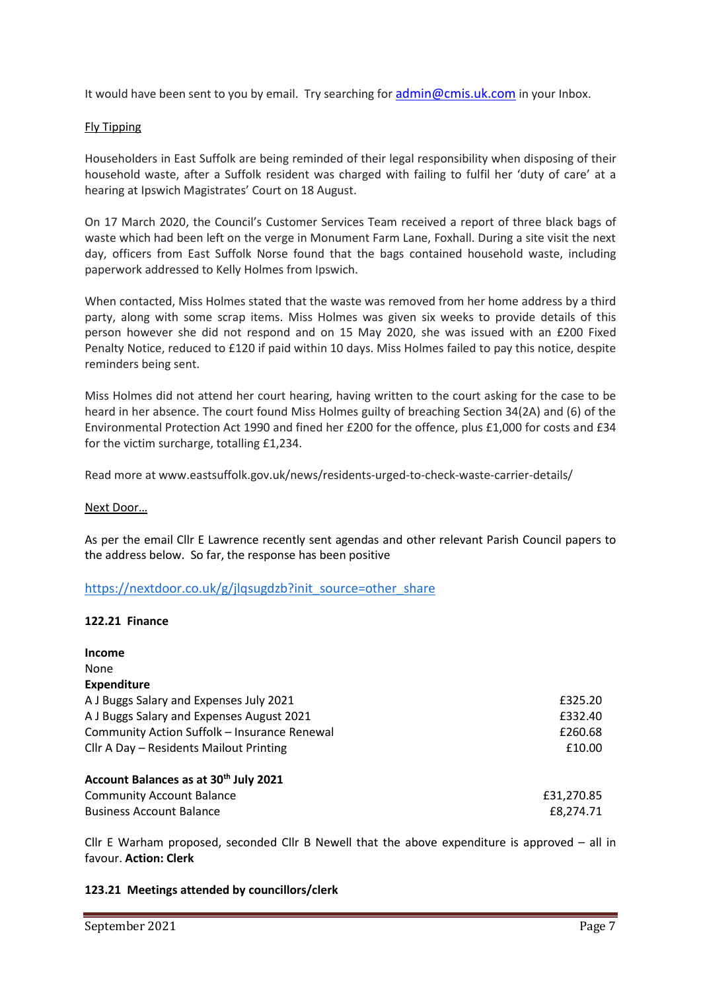It would have been sent to you by email. Try searching for [admin@cmis.uk.com](mailto:admin@cmis.uk.com) in your Inbox.

## Fly Tipping

Householders in East Suffolk are being reminded of their legal responsibility when disposing of their household waste, after a Suffolk resident was charged with failing to fulfil her 'duty of care' at a hearing at Ipswich Magistrates' Court on 18 August.

On 17 March 2020, the Council's Customer Services Team received a report of three black bags of waste which had been left on the verge in Monument Farm Lane, Foxhall. During a site visit the next day, officers from East Suffolk Norse found that the bags contained household waste, including paperwork addressed to Kelly Holmes from Ipswich.

When contacted, Miss Holmes stated that the waste was removed from her home address by a third party, along with some scrap items. Miss Holmes was given six weeks to provide details of this person however she did not respond and on 15 May 2020, she was issued with an £200 Fixed Penalty Notice, reduced to £120 if paid within 10 days. Miss Holmes failed to pay this notice, despite reminders being sent.

Miss Holmes did not attend her court hearing, having written to the court asking for the case to be heard in her absence. The court found Miss Holmes guilty of breaching Section 34(2A) and (6) of the Environmental Protection Act 1990 and fined her £200 for the offence, plus £1,000 for costs and £34 for the victim surcharge, totalling £1,234.

Read more at www.eastsuffolk.gov.uk/news/residents-urged-to-check-waste-carrier-details/

### Next Door…

As per the email Cllr E Lawrence recently sent agendas and other relevant Parish Council papers to the address below. So far, the response has been positive

# [https://nextdoor.co.uk/g/jlqsugdzb?init\\_source=other\\_share](https://nextdoor.co.uk/g/jlqsugdzb?init_source=other_share)

### **122.21 Finance**

| Income                                            |            |
|---------------------------------------------------|------------|
| None                                              |            |
| <b>Expenditure</b>                                |            |
| A J Buggs Salary and Expenses July 2021           | £325.20    |
| A J Buggs Salary and Expenses August 2021         | £332.40    |
| Community Action Suffolk - Insurance Renewal      | £260.68    |
| Cllr A Day - Residents Mailout Printing           | £10.00     |
| Account Balances as at 30 <sup>th</sup> July 2021 |            |
| <b>Community Account Balance</b>                  | £31,270.85 |
| <b>Business Account Balance</b>                   | £8,274.71  |

Cllr E Warham proposed, seconded Cllr B Newell that the above expenditure is approved – all in favour. **Action: Clerk**

### **123.21 Meetings attended by councillors/clerk**